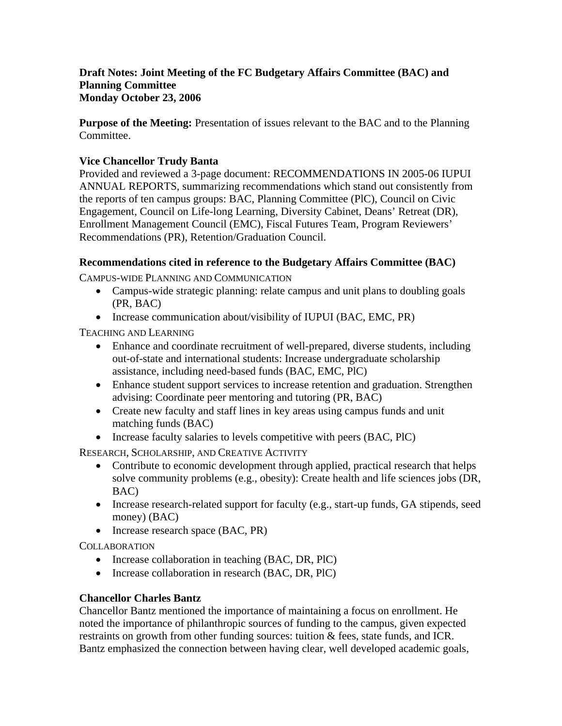# **Draft Notes: Joint Meeting of the FC Budgetary Affairs Committee (BAC) and Planning Committee Monday October 23, 2006**

**Purpose of the Meeting:** Presentation of issues relevant to the BAC and to the Planning Committee.

# **Vice Chancellor Trudy Banta**

Provided and reviewed a 3-page document: RECOMMENDATIONS IN 2005-06 IUPUI ANNUAL REPORTS, summarizing recommendations which stand out consistently from the reports of ten campus groups: BAC, Planning Committee (PlC), Council on Civic Engagement, Council on Life-long Learning, Diversity Cabinet, Deans' Retreat (DR), Enrollment Management Council (EMC), Fiscal Futures Team, Program Reviewers' Recommendations (PR), Retention/Graduation Council.

### **Recommendations cited in reference to the Budgetary Affairs Committee (BAC)**

CAMPUS-WIDE PLANNING AND COMMUNICATION

- Campus-wide strategic planning: relate campus and unit plans to doubling goals (PR, BAC)
- Increase communication about/visibility of IUPUI (BAC, EMC, PR)

TEACHING AND LEARNING

- Enhance and coordinate recruitment of well-prepared, diverse students, including out-of-state and international students: Increase undergraduate scholarship assistance, including need-based funds (BAC, EMC, PlC)
- Enhance student support services to increase retention and graduation. Strengthen advising: Coordinate peer mentoring and tutoring (PR, BAC)
- Create new faculty and staff lines in key areas using campus funds and unit matching funds (BAC)
- Increase faculty salaries to levels competitive with peers (BAC, PlC)

RESEARCH, SCHOLARSHIP, AND CREATIVE ACTIVITY

- Contribute to economic development through applied, practical research that helps solve community problems (e.g., obesity): Create health and life sciences jobs (DR, BAC)
- Increase research-related support for faculty (e.g., start-up funds, GA stipends, seed money) (BAC)
- Increase research space (BAC, PR)

**COLLABORATION** 

- Increase collaboration in teaching (BAC, DR, PlC)
- Increase collaboration in research (BAC, DR, PlC)

# **Chancellor Charles Bantz**

Chancellor Bantz mentioned the importance of maintaining a focus on enrollment. He noted the importance of philanthropic sources of funding to the campus, given expected restraints on growth from other funding sources: tuition & fees, state funds, and ICR. Bantz emphasized the connection between having clear, well developed academic goals,